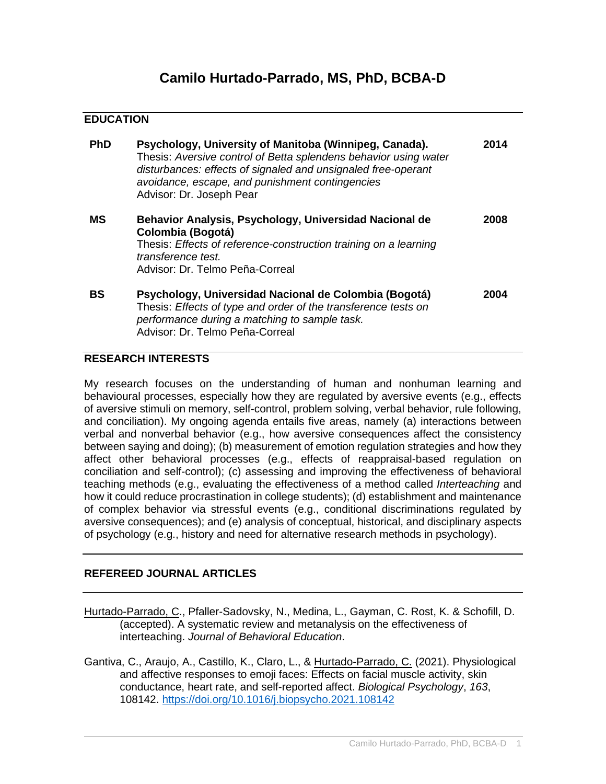## **EDUCATION**

| <b>PhD</b> | Psychology, University of Manitoba (Winnipeg, Canada).<br>Thesis: Aversive control of Betta splendens behavior using water<br>disturbances: effects of signaled and unsignaled free-operant<br>avoidance, escape, and punishment contingencies<br>Advisor: Dr. Joseph Pear | 2014 |
|------------|----------------------------------------------------------------------------------------------------------------------------------------------------------------------------------------------------------------------------------------------------------------------------|------|
| MS         | Behavior Analysis, Psychology, Universidad Nacional de<br>Colombia (Bogotá)<br>Thesis: Effects of reference-construction training on a learning<br>transference test.<br>Advisor: Dr. Telmo Peña-Correal                                                                   | 2008 |
| <b>BS</b>  | Psychology, Universidad Nacional de Colombia (Bogotá)<br>Thesis: Effects of type and order of the transference tests on<br>performance during a matching to sample task.<br>Advisor: Dr. Telmo Peña-Correal                                                                | 2004 |

## **RESEARCH INTERESTS**

My research focuses on the understanding of human and nonhuman learning and behavioural processes, especially how they are regulated by aversive events (e.g., effects of aversive stimuli on memory, self-control, problem solving, verbal behavior, rule following, and conciliation). My ongoing agenda entails five areas, namely (a) interactions between verbal and nonverbal behavior (e.g., how aversive consequences affect the consistency between saying and doing); (b) measurement of emotion regulation strategies and how they affect other behavioral processes (e.g., effects of reappraisal-based regulation on conciliation and self-control); (c) assessing and improving the effectiveness of behavioral teaching methods (e.g., evaluating the effectiveness of a method called *Interteaching* and how it could reduce procrastination in college students); (d) establishment and maintenance of complex behavior via stressful events (e.g., conditional discriminations regulated by aversive consequences); and (e) analysis of conceptual, historical, and disciplinary aspects of psychology (e.g., history and need for alternative research methods in psychology).

## **REFEREED JOURNAL ARTICLES**

- Hurtado-Parrado, C., Pfaller-Sadovsky, N., Medina, L., Gayman, C. Rost, K. & Schofill, D. (accepted). A systematic review and metanalysis on the effectiveness of interteaching. *Journal of Behavioral Education*.
- Gantiva, C., Araujo, A., Castillo, K., Claro, L., & Hurtado-Parrado, C. (2021). Physiological and affective responses to emoji faces: Effects on facial muscle activity, skin conductance, heart rate, and self-reported affect. *Biological Psychology*, *163*, 108142.<https://doi.org/10.1016/j.biopsycho.2021.108142>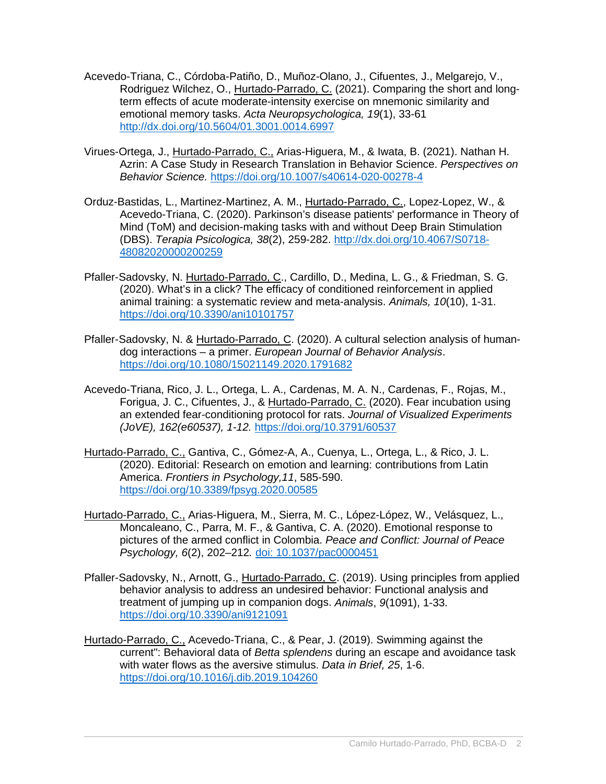- Acevedo-Triana, C., Córdoba-Patiño, D., Muñoz-Olano, J., Cifuentes, J., Melgarejo, V., Rodriguez Wilchez, O., Hurtado-Parrado, C. (2021). Comparing the short and longterm effects of acute moderate-intensity exercise on mnemonic similarity and emotional memory tasks. *Acta Neuropsychologica, 19*(1), 33-61 <http://dx.doi.org/10.5604/01.3001.0014.6997>
- Virues-Ortega, J., Hurtado-Parrado, C., Arias-Higuera, M., & Iwata, B. (2021). Nathan H. Azrin: A Case Study in Research Translation in Behavior Science. *Perspectives on Behavior Science.* <https://doi.org/10.1007/s40614-020-00278-4>
- Orduz-Bastidas, L., Martinez-Martinez, A. M., Hurtado-Parrado, C., Lopez-Lopez, W., & Acevedo-Triana, C. (2020). Parkinson's disease patients' performance in Theory of Mind (ToM) and decision-making tasks with and without Deep Brain Stimulation (DBS). *Terapia Psicologica, 38*(2), 259-282. [http://dx.doi.org/10.4067/S0718-](http://dx.doi.org/10.4067/S0718-48082020000200259) [48082020000200259](http://dx.doi.org/10.4067/S0718-48082020000200259)
- Pfaller-Sadovsky, N. Hurtado-Parrado, C., Cardillo, D., Medina, L. G., & Friedman, S. G. (2020). What's in a click? The efficacy of conditioned reinforcement in applied animal training: a systematic review and meta-analysis. *Animals, 10*(10), 1-31. <https://doi.org/10.3390/ani10101757>
- Pfaller-Sadovsky, N. & Hurtado-Parrado, C. (2020). A cultural selection analysis of humandog interactions – a primer. *European Journal of Behavior Analysis*. <https://doi.org/10.1080/15021149.2020.1791682>
- Acevedo-Triana, Rico, J. L., Ortega, L. A., Cardenas, M. A. N., Cardenas, F., Rojas, M., Forigua, J. C., Cifuentes, J., & Hurtado-Parrado, C. (2020). Fear incubation using an extended fear-conditioning protocol for rats. *Journal of Visualized Experiments (JoVE), 162(e60537), 1-12.* <https://doi.org/10.3791/60537>
- Hurtado-Parrado, C., Gantiva, C., Gómez-A, A., Cuenya, L., Ortega, L., & Rico, J. L. (2020). Editorial: Research on emotion and learning: contributions from Latin America. *Frontiers in Psychology,11*, 585-590. <https://doi.org/10.3389/fpsyg.2020.00585>
- Hurtado-Parrado, C., Arias-Higuera, M., Sierra, M. C., López-López, W., Velásquez, L., Moncaleano, C., Parra, M. F., & Gantiva, C. A. (2020). Emotional response to pictures of the armed conflict in Colombia. *Peace and Conflict: Journal of Peace Psychology, 6*(2), 202–212*.* [doi: 10.1037/pac0000451](http://doi.org/10.1037/pac0000451)
- Pfaller-Sadovsky, N., Arnott, G., Hurtado-Parrado, C. (2019). Using principles from applied behavior analysis to address an undesired behavior: Functional analysis and treatment of jumping up in companion dogs. *Animals*, *9*(1091), 1-33. <https://doi.org/10.3390/ani9121091>
- Hurtado-Parrado, C., Acevedo-Triana, C., & Pear, J. (2019). Swimming against the current": Behavioral data of *Betta splendens* during an escape and avoidance task with water flows as the aversive stimulus. *Data in Brief, 25*, 1-6. <https://doi.org/10.1016/j.dib.2019.104260>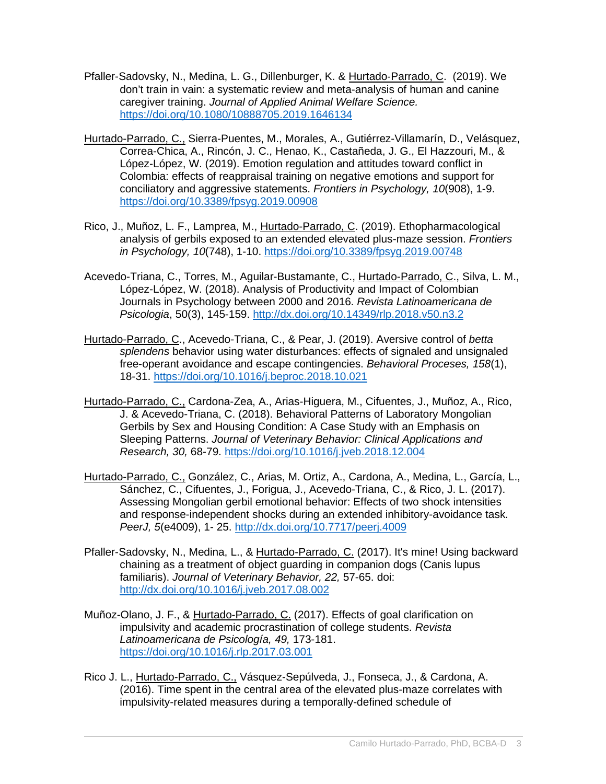- Pfaller-Sadovsky, N., Medina, L. G., Dillenburger, K. & Hurtado-Parrado, C. (2019). We don't train in vain: a systematic review and meta-analysis of human and canine caregiver training. *Journal of Applied Animal Welfare Science.*  <https://doi.org/10.1080/10888705.2019.1646134>
- Hurtado-Parrado, C., Sierra-Puentes, M., Morales, A., Gutiérrez-Villamarín, D., Velásquez, Correa-Chica, A., Rincón, J. C., Henao, K., Castañeda, J. G., El Hazzouri, M., & López-López, W. (2019). Emotion regulation and attitudes toward conflict in Colombia: effects of reappraisal training on negative emotions and support for conciliatory and aggressive statements. *Frontiers in Psychology, 10*(908), 1-9. <https://doi.org/10.3389/fpsyg.2019.00908>
- Rico, J., Muñoz, L. F., Lamprea, M., Hurtado-Parrado, C. (2019). Ethopharmacological analysis of gerbils exposed to an extended elevated plus-maze session. *Frontiers in Psychology, 10*(748), 1-10.<https://doi.org/10.3389/fpsyg.2019.00748>
- Acevedo-Triana, C., Torres, M., Aguilar-Bustamante, C., Hurtado-Parrado, C., Silva, L. M., López-López, W. (2018). Analysis of Productivity and Impact of Colombian Journals in Psychology between 2000 and 2016. *Revista Latinoamericana de Psicologia*, 50(3), 145-159.<http://dx.doi.org/10.14349/rlp.2018.v50.n3.2>
- Hurtado-Parrado, C., Acevedo-Triana, C., & Pear, J. (2019). Aversive control of *betta splendens* behavior using water disturbances: effects of signaled and unsignaled free-operant avoidance and escape contingencies. *Behavioral Proceses, 158*(1), 18-31.<https://doi.org/10.1016/j.beproc.2018.10.021>
- Hurtado-Parrado, C., Cardona-Zea, A., Arias-Higuera, M., Cifuentes, J., Muñoz, A., Rico, J. & Acevedo-Triana, C. (2018). Behavioral Patterns of Laboratory Mongolian Gerbils by Sex and Housing Condition: A Case Study with an Emphasis on Sleeping Patterns. *Journal of Veterinary Behavior: Clinical Applications and Research, 30,* 68-79.<https://doi.org/10.1016/j.jveb.2018.12.004>
- Hurtado-Parrado, C., González, C., Arias, M. Ortiz, A., Cardona, A., Medina, L., García, L., Sánchez, C., Cifuentes, J., Forigua, J., Acevedo-Triana, C., & Rico, J. L. (2017). Assessing Mongolian gerbil emotional behavior: Effects of two shock intensities and response-independent shocks during an extended inhibitory-avoidance task. *PeerJ, 5*(e4009), 1- 25.<http://dx.doi.org/10.7717/peerj.4009>
- Pfaller-Sadovsky, N., Medina, L., & Hurtado-Parrado, C. (2017). It's mine! Using backward chaining as a treatment of object guarding in companion dogs (Canis lupus familiaris). *Journal of Veterinary Behavior, 22,* 57-65. doi: <http://dx.doi.org/10.1016/j.jveb.2017.08.002>
- Muñoz-Olano, J. F., & Hurtado-Parrado, C. (2017). Effects of goal clarification on impulsivity and academic procrastination of college students. *Revista Latinoamericana de Psicología, 49,* 173-181. <https://doi.org/10.1016/j.rlp.2017.03.001>
- Rico J. L., Hurtado-Parrado, C., Vásquez-Sepúlveda, J., Fonseca, J., & Cardona, A. (2016). Time spent in the central area of the elevated plus-maze correlates with impulsivity-related measures during a temporally-defined schedule of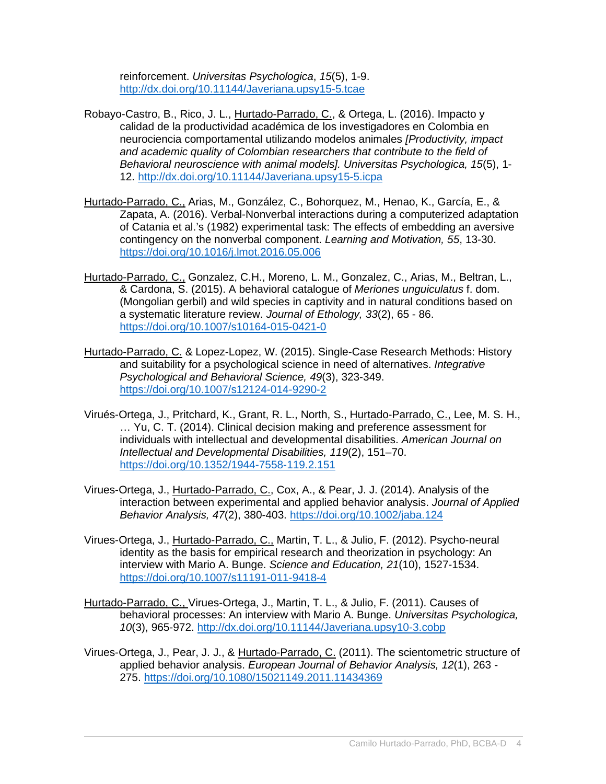reinforcement. *Universitas Psychologica*, *15*(5), 1-9. <http://dx.doi.org/10.11144/Javeriana.upsy15-5.tcae>

- Robayo-Castro, B., Rico, J. L., Hurtado-Parrado, C., & Ortega, L. (2016). Impacto y calidad de la productividad académica de los investigadores en Colombia en neurociencia comportamental utilizando modelos animales *[Productivity, impact and academic quality of Colombian researchers that contribute to the field of Behavioral neuroscience with animal models]. Universitas Psychologica, 15*(5), 1- 12.<http://dx.doi.org/10.11144/Javeriana.upsy15-5.icpa>
- Hurtado-Parrado, C., Arias, M., González, C., Bohorquez, M., Henao, K., García, E., & Zapata, A. (2016). Verbal-Nonverbal interactions during a computerized adaptation of Catania et al.'s (1982) experimental task: The effects of embedding an aversive contingency on the nonverbal component. *Learning and Motivation, 55*, 13-30. <https://doi.org/10.1016/j.lmot.2016.05.006>
- Hurtado-Parrado, C., Gonzalez, C.H., Moreno, L. M., Gonzalez, C., Arias, M., Beltran, L., & Cardona, S. (2015). A behavioral catalogue of *Meriones unguiculatus* f. dom. (Mongolian gerbil) and wild species in captivity and in natural conditions based on a systematic literature review. *Journal of Ethology, 33*(2), 65 - 86. <https://doi.org/10.1007/s10164-015-0421-0>
- Hurtado-Parrado, C. & Lopez-Lopez, W. (2015). Single-Case Research Methods: History and suitability for a psychological science in need of alternatives. *Integrative Psychological and Behavioral Science, 49*(3), 323-349. <https://doi.org/10.1007/s12124-014-9290-2>
- Virués-Ortega, J., Pritchard, K., Grant, R. L., North, S., Hurtado-Parrado, C., Lee, M. S. H., … Yu, C. T. (2014). Clinical decision making and preference assessment for individuals with intellectual and developmental disabilities. *American Journal on Intellectual and Developmental Disabilities, 119*(2), 151–70. <https://doi.org/10.1352/1944-7558-119.2.151>
- Virues-Ortega, J., Hurtado-Parrado, C., Cox, A., & Pear, J. J. (2014). Analysis of the interaction between experimental and applied behavior analysis. *Journal of Applied Behavior Analysis, 47*(2), 380-403. <https://doi.org/10.1002/jaba.124>
- Virues-Ortega, J., Hurtado-Parrado, C., Martin, T. L., & Julio, F. (2012). Psycho-neural identity as the basis for empirical research and theorization in psychology: An interview with Mario A. Bunge. *Science and Education, 21*(10), 1527-1534. <https://doi.org/10.1007/s11191-011-9418-4>
- [Hurtado-Parrado, C., Virues-Ortega, J., Martin, T. L., & Julio, F. \(2011\). Causes of](https://www.researchgate.net/publication/255483617_Causes_of_Behavioral_Processes_An_Interview_with_Mario_A._Bunge?ev=prf_pub)  [behavioral processes: An interview with Mario A. Bunge.](https://www.researchgate.net/publication/255483617_Causes_of_Behavioral_Processes_An_Interview_with_Mario_A._Bunge?ev=prf_pub) *Universitas Psychologica, 10*[\(3\), 965-972.](https://www.researchgate.net/publication/255483617_Causes_of_Behavioral_Processes_An_Interview_with_Mario_A._Bunge?ev=prf_pub) <http://dx.doi.org/10.11144/Javeriana.upsy10-3.cobp>
- [Virues-Ortega, J., Pear, J. J., & Hurtado-Parrado, C.](https://www.researchgate.net/publication/273002634_The_scientometric_structure_of_applied_behavior_analysis?ev=prf_pub) (2011). The scientometric structure of applied behavior analysis. *[European Journal of Behavior Analysis, 12](https://www.researchgate.net/publication/273002634_The_scientometric_structure_of_applied_behavior_analysis?ev=prf_pub)*(1), 263 - [275.](https://www.researchgate.net/publication/273002634_The_scientometric_structure_of_applied_behavior_analysis?ev=prf_pub) <https://doi.org/10.1080/15021149.2011.11434369>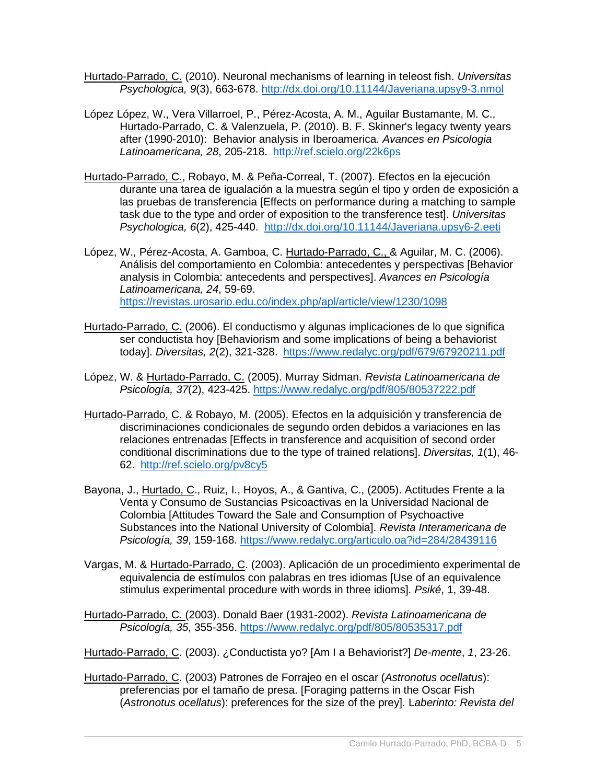- Hurtado-Parrado, C. [\(2010\). Neuronal mechanisms of learning in teleost fish.](https://www.researchgate.net/publication/51022853_Neuronal_mechanisms_of_learning_in_teleost_fish?ev=prf_pub) *Universitas [Psychologica, 9](https://www.researchgate.net/publication/51022853_Neuronal_mechanisms_of_learning_in_teleost_fish?ev=prf_pub)*(3), 663-678. <http://dx.doi.org/10.11144/Javeriana.upsy9-3.nmol>
- [López López, W., Vera Villarroel, P., Pérez-Acosta, A. M.,](https://www.researchgate.net/publication/240614143_B._F._Skinner_legacy_twenty_years_after_%281990-2010%29_Behavior_analysis_in_Ibero-America?ev=prf_pub) Aguilar Bustamante, M. C., [Hurtado-Parrado, C. & Valenzuela, P. \(2010\). B. F.](https://www.researchgate.net/publication/240614143_B._F._Skinner_legacy_twenty_years_after_%281990-2010%29_Behavior_analysis_in_Ibero-America?ev=prf_pub) Skinner's legacy twenty years after (1990-2010): [Behavior analysis in Iberoamerica.](https://www.researchgate.net/publication/240614143_B._F._Skinner_legacy_twenty_years_after_%281990-2010%29_Behavior_analysis_in_Ibero-America?ev=prf_pub) *Avances en Psicologia [Latinoamericana, 28](https://www.researchgate.net/publication/240614143_B._F._Skinner_legacy_twenty_years_after_%281990-2010%29_Behavior_analysis_in_Ibero-America?ev=prf_pub)*, 205-218. <http://ref.scielo.org/22k6ps>
- [Hurtado-Parrado, C., Robayo, M. & Peña-Correal, T.](https://www.researchgate.net/publication/232252579_Efectos_de_la_ejecucin_en_una_tarea_de_igualacin_a_la_muestra_segn_el_tipo_y_el_orden_de_exposicin_a_las_pruebas_de_transferencia?ev=prf_pub) (2007). Efectos en la ejecución [durante una tarea de igualación a la muestra según el tipo y orden de exposición a](https://www.researchgate.net/publication/232252579_Efectos_de_la_ejecucin_en_una_tarea_de_igualacin_a_la_muestra_segn_el_tipo_y_el_orden_de_exposicin_a_las_pruebas_de_transferencia?ev=prf_pub)  las pruebas de transferencia [\[Effects on performance during a matching to sample](https://www.researchgate.net/publication/232252579_Efectos_de_la_ejecucin_en_una_tarea_de_igualacin_a_la_muestra_segn_el_tipo_y_el_orden_de_exposicin_a_las_pruebas_de_transferencia?ev=prf_pub)  [task due to the type and order of exposition to the transference test\].](https://www.researchgate.net/publication/232252579_Efectos_de_la_ejecucin_en_una_tarea_de_igualacin_a_la_muestra_segn_el_tipo_y_el_orden_de_exposicin_a_las_pruebas_de_transferencia?ev=prf_pub) *Universitas [Psychologica, 6](https://www.researchgate.net/publication/232252579_Efectos_de_la_ejecucin_en_una_tarea_de_igualacin_a_la_muestra_segn_el_tipo_y_el_orden_de_exposicin_a_las_pruebas_de_transferencia?ev=prf_pub)*(2), 425-440. <http://dx.doi.org/10.11144/Javeriana.upsy6-2.eeti>
- [López, W., Pérez-Acosta, A. Gamboa, C. Hurtado-Parrado, C., & Aguilar, M. C. \(2006\).](https://www.researchgate.net/publication/28232995_Anlisis_del_comportamiento_en_Colombia_antecedentes_y_perspectivas_Mara_Constanza_Aguilar_Bustamante?ev=prf_pub)  [Análisis del comportamiento en Colombia: antecedentes y perspectivas](https://www.researchgate.net/publication/28232995_Anlisis_del_comportamiento_en_Colombia_antecedentes_y_perspectivas_Mara_Constanza_Aguilar_Bustamante?ev=prf_pub) [Behavior [analysis in Colombia: antecedents and perspectives\].](https://www.researchgate.net/publication/28232995_Anlisis_del_comportamiento_en_Colombia_antecedentes_y_perspectivas_Mara_Constanza_Aguilar_Bustamante?ev=prf_pub) *Avances en Psicología [Latinoamericana, 24](https://www.researchgate.net/publication/28232995_Anlisis_del_comportamiento_en_Colombia_antecedentes_y_perspectivas_Mara_Constanza_Aguilar_Bustamante?ev=prf_pub)*, 59-69. <https://revistas.urosario.edu.co/index.php/apl/article/view/1230/1098>
- Hurtado-Parrado, C. [\(2006\). El conductismo y algunas implicaciones de lo que significa](https://www.researchgate.net/publication/26456748_El_conductismo_y_algunas_implicaciones_de_lo_que_significa_ser_conductista_hoy?ev=prf_pub)  ser conductista hoy [\[Behaviorism and some implications of being a behaviorist](https://www.researchgate.net/publication/26456748_El_conductismo_y_algunas_implicaciones_de_lo_que_significa_ser_conductista_hoy?ev=prf_pub)  today]. *Diversitas, 2*[\(2\), 321-328.](https://www.researchgate.net/publication/26456748_El_conductismo_y_algunas_implicaciones_de_lo_que_significa_ser_conductista_hoy?ev=prf_pub) <https://www.redalyc.org/pdf/679/67920211.pdf>
- [López, W. & Hurtado-Parrado, C.](https://www.researchgate.net/publication/26594653_Murray_Sidman?ev=prf_pub) (2005). Murray Sidman. *Revista Latinoamericana de [Psicología, 37](https://www.researchgate.net/publication/26594653_Murray_Sidman?ev=prf_pub)*(2), 423-425. <https://www.redalyc.org/pdf/805/80537222.pdf>
- Hurtado-Parrado, C. [& Robayo, M. \(2005\). Efectos en la adquisición y transferencia de](https://www.researchgate.net/publication/26456709_Efectos_en_la_adquisicin_y_transferencia_de_discriminaciones_condicionales_de_segundo_orden_debidos_a_variaciones_en_las_relaciones_entrenadas?ev=prf_pub)  [discriminaciones condicionales de segundo orden debidos a variaciones en las](https://www.researchgate.net/publication/26456709_Efectos_en_la_adquisicin_y_transferencia_de_discriminaciones_condicionales_de_segundo_orden_debidos_a_variaciones_en_las_relaciones_entrenadas?ev=prf_pub)  relaciones entrenadas [\[Effects in transference and acquisition of second order](https://www.researchgate.net/publication/26456709_Efectos_en_la_adquisicin_y_transferencia_de_discriminaciones_condicionales_de_segundo_orden_debidos_a_variaciones_en_las_relaciones_entrenadas?ev=prf_pub)  [conditional discriminations due to the type of trained relations\].](https://www.researchgate.net/publication/26456709_Efectos_en_la_adquisicin_y_transferencia_de_discriminaciones_condicionales_de_segundo_orden_debidos_a_variaciones_en_las_relaciones_entrenadas?ev=prf_pub) *Diversitas, 1*(1), 46- [62.](https://www.researchgate.net/publication/26456709_Efectos_en_la_adquisicin_y_transferencia_de_discriminaciones_condicionales_de_segundo_orden_debidos_a_variaciones_en_las_relaciones_entrenadas?ev=prf_pub) <http://ref.scielo.org/pv8cy5>
- Bayona, J., Hurtado, C., Ruiz, I., Hoyos, A., & Gantiva, C., (2005). Actitudes Frente a la [Venta y Consumo de Sustancias Psicoactivas en la Universidad Nacional de](https://www.researchgate.net/publication/26610463_Actitudes_frente_a_la_venta_y_el_consumo_de_sustancias_psicoactivas_al_interior_de_la_universidad_nacional_de_Colombia?ev=prf_pub)  [Colombia \[Attitudes Toward the Sale and Consumption of Psychoactive](https://www.researchgate.net/publication/26610463_Actitudes_frente_a_la_venta_y_el_consumo_de_sustancias_psicoactivas_al_interior_de_la_universidad_nacional_de_Colombia?ev=prf_pub)  [Substances into the National University of Colombia\].](https://www.researchgate.net/publication/26610463_Actitudes_frente_a_la_venta_y_el_consumo_de_sustancias_psicoactivas_al_interior_de_la_universidad_nacional_de_Colombia?ev=prf_pub) *Revista Interamericana de [Psicología, 39](https://www.researchgate.net/publication/26610463_Actitudes_frente_a_la_venta_y_el_consumo_de_sustancias_psicoactivas_al_interior_de_la_universidad_nacional_de_Colombia?ev=prf_pub)*, 159-168.<https://www.redalyc.org/articulo.oa?id=284/28439116>
- Vargas, M. & Hurtado-Parrado, C. (2003). Aplicación de un procedimiento experimental de equivalencia de estímulos con palabras en tres idiomas [Use of an equivalence stimulus experimental procedure with words in three idioms]. *Psiké*, 1, 39-48.

[Hurtado-Parrado, C. \(2003\). Donald Baer \(1931-2002\).](https://www.researchgate.net/publication/26595182_Donald_Baer_%281931-2002%29?ev=prf_pub) *Revista Latinoamericana de [Psicología, 35](https://www.researchgate.net/publication/26595182_Donald_Baer_%281931-2002%29?ev=prf_pub)*, 355-356.<https://www.redalyc.org/pdf/805/80535317.pdf>

Hurtado-Parrado, C. (2003). ¿Conductista yo? [Am I a Behaviorist?] *De-mente*, *1*, 23-26.

Hurtado-Parrado, C. (2003) Patrones de Forrajeo en el oscar (*Astronotus ocellatus*): preferencias por el tamaño de presa. [Foraging patterns in the Oscar Fish (*Astronotus ocellatus*): preferences for the size of the prey]. L*aberinto: Revista del*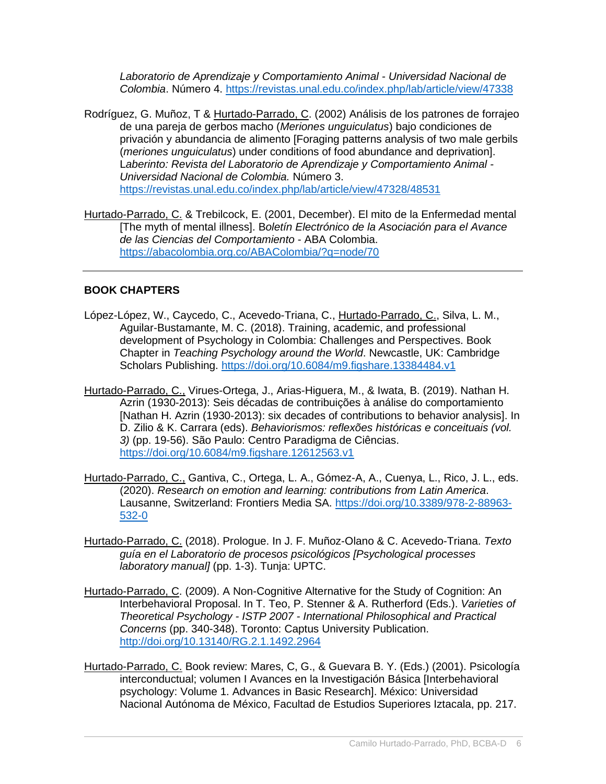*Laboratorio de Aprendizaje y Comportamiento Animal - Universidad Nacional de Colombia*. Número 4. <https://revistas.unal.edu.co/index.php/lab/article/view/47338>

- Rodríguez, G. Muñoz, T & Hurtado-Parrado, C. (2002) Análisis de los patrones de forrajeo de una pareja de gerbos macho (*Meriones unguiculatus*) bajo condiciones de privación y abundancia de alimento [Foraging patterns analysis of two male gerbils (*meriones unguiculatus*) under conditions of food abundance and deprivation]. L*aberinto: Revista del Laboratorio de Aprendizaje y Comportamiento Animal - Universidad Nacional de Colombia.* Número 3. <https://revistas.unal.edu.co/index.php/lab/article/view/47328/48531>
- Hurtado-Parrado, C. & Trebilcock, E. (2001, December). El mito de la Enfermedad mental [The myth of mental illness]. B*oletín Electrónico de la Asociación para el Avance de las Ciencias del Comportamiento* - ABA Colombia. <https://abacolombia.org.co/ABAColombia/?q=node/70>

## **BOOK CHAPTERS**

- López-López, W., Caycedo, C., Acevedo-Triana, C., Hurtado-Parrado, C., Silva, L. M., Aguilar-Bustamante, M. C. (2018). Training, academic, and professional development of Psychology in Colombia: Challenges and Perspectives. Book Chapter in *Teaching Psychology around the World*. Newcastle, UK: Cambridge Scholars Publishing. <https://doi.org/10.6084/m9.figshare.13384484.v1>
- Hurtado-Parrado, C., Virues-Ortega, J., Arias-Higuera, M., & Iwata, B. (2019). Nathan H. Azrin (1930-2013): Seis décadas de contribuições à análise do comportamiento [Nathan H. Azrin (1930-2013): six decades of contributions to behavior analysis]. In D. Zilio & K. Carrara (eds). *Behaviorismos: reflexões históricas e conceituais (vol. 3)* (pp. 19-56). São Paulo: Centro Paradigma de Ciências. <https://doi.org/10.6084/m9.figshare.12612563.v1>
- Hurtado-Parrado, C., Gantiva, C., Ortega, L. A., Gómez-A, A., Cuenya, L., Rico, J. L., eds. (2020). *Research on emotion and learning: contributions from Latin America*. Lausanne, Switzerland: Frontiers Media SA. [https://doi.org/10.3389/978-2-88963-](https://doi.org/10.3389/978-2-88963-532-0) [532-0](https://doi.org/10.3389/978-2-88963-532-0)
- Hurtado-Parrado, C. (2018). Prologue. In J. F. Muñoz-Olano & C. Acevedo-Triana. *Texto guía en el Laboratorio de procesos psicológicos [Psychological processes laboratory manual]* (pp. 1-3). Tunja: UPTC.
- [Hurtado-Parrado, C. \(2009\). A Non-Cognitive Alternative for the Study of Cognition: An](https://www.researchgate.net/publication/273002290_A_Non-Cognitive_Alternative_for_the_Study_of_Cognition_An_Interbehavioral_Proposal?ev=prf_pub)  [Interbehavioral Proposal. In T. Teo, P. Stenner & A. Rutherford \(Eds.\).](https://www.researchgate.net/publication/273002290_A_Non-Cognitive_Alternative_for_the_Study_of_Cognition_An_Interbehavioral_Proposal?ev=prf_pub) *Varieties of Theoretical Psychology - ISTP 2007 - [International Philosophical and Practical](https://www.researchgate.net/publication/273002290_A_Non-Cognitive_Alternative_for_the_Study_of_Cognition_An_Interbehavioral_Proposal?ev=prf_pub)  Concerns* (pp. 340-348). [Toronto: Captus University Publication.](https://www.researchgate.net/publication/273002290_A_Non-Cognitive_Alternative_for_the_Study_of_Cognition_An_Interbehavioral_Proposal?ev=prf_pub)  <http://doi.org/10.13140/RG.2.1.1492.2964>
- Hurtado-Parrado, C. Book review: Mares, C, G., & Guevara B. Y. (Eds.) (2001). Psicología interconductual; volumen I Avances en la Investigación Básica [Interbehavioral psychology: Volume 1. Advances in Basic Research]. México: Universidad Nacional Autónoma de México, Facultad de Estudios Superiores Iztacala, pp. 217.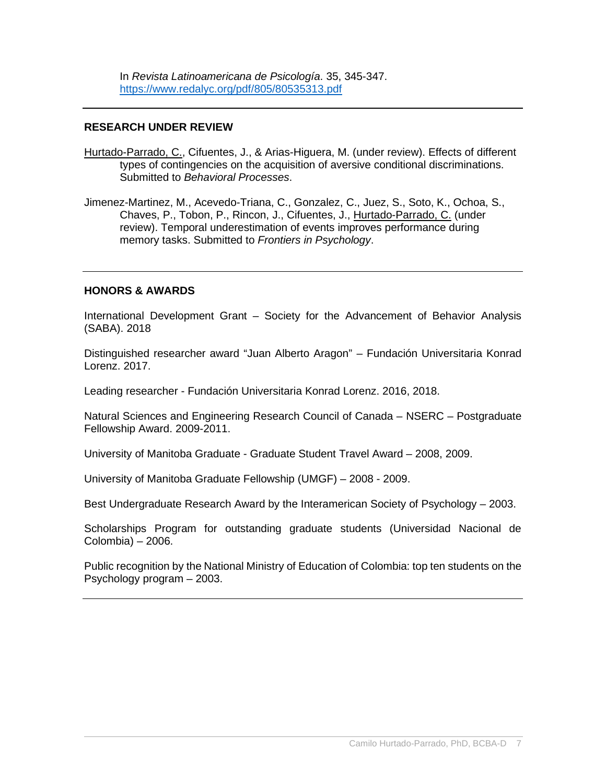In *Revista Latinoamericana de Psicología*. 35, 345-347. <https://www.redalyc.org/pdf/805/80535313.pdf>

#### **RESEARCH UNDER REVIEW**

- Hurtado-Parrado, C., Cifuentes, J., & Arias-Higuera, M. (under review). Effects of different types of contingencies on the acquisition of aversive conditional discriminations. Submitted to *Behavioral Processes*.
- Jimenez-Martinez, M., Acevedo-Triana, C., Gonzalez, C., Juez, S., Soto, K., Ochoa, S., Chaves, P., Tobon, P., Rincon, J., Cifuentes, J., Hurtado-Parrado, C. (under review). Temporal underestimation of events improves performance during memory tasks. Submitted to *Frontiers in Psychology*.

#### **HONORS & AWARDS**

International Development Grant – Society for the Advancement of Behavior Analysis (SABA). 2018

Distinguished researcher award "Juan Alberto Aragon" – Fundación Universitaria Konrad Lorenz. 2017.

Leading researcher - Fundación Universitaria Konrad Lorenz. 2016, 2018.

Natural Sciences and Engineering Research Council of Canada – NSERC – Postgraduate Fellowship Award. 2009-2011.

University of Manitoba Graduate - Graduate Student Travel Award – 2008, 2009.

University of Manitoba Graduate Fellowship (UMGF) – 2008 - 2009.

Best Undergraduate Research Award by the Interamerican Society of Psychology – 2003.

Scholarships Program for outstanding graduate students (Universidad Nacional de Colombia) – 2006.

Public recognition by the National Ministry of Education of Colombia: top ten students on the Psychology program – 2003.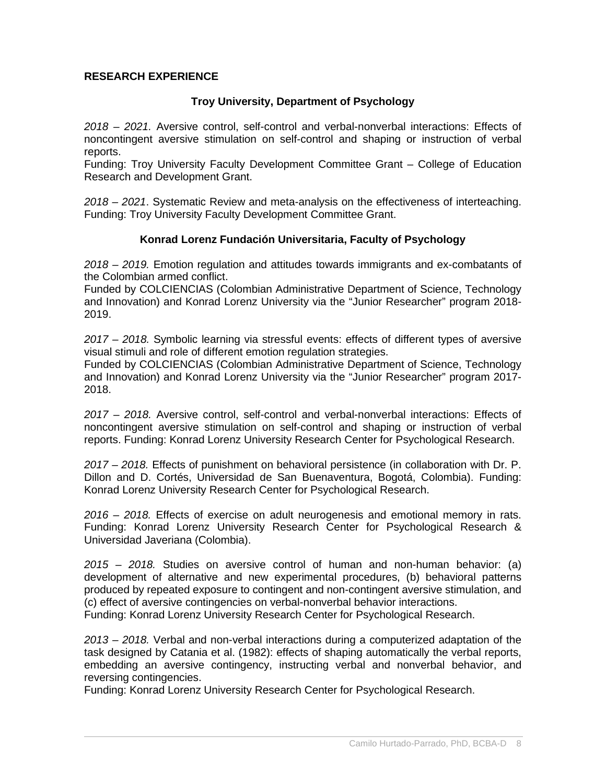#### **RESEARCH EXPERIENCE**

#### **Troy University, Department of Psychology**

*2018 – 2021.* Aversive control, self-control and verbal-nonverbal interactions: Effects of noncontingent aversive stimulation on self-control and shaping or instruction of verbal reports.

Funding: Troy University Faculty Development Committee Grant – College of Education Research and Development Grant.

*2018 – 2021*. Systematic Review and meta-analysis on the effectiveness of interteaching. Funding: Troy University Faculty Development Committee Grant.

#### **Konrad Lorenz Fundación Universitaria, Faculty of Psychology**

*2018 – 2019.* Emotion regulation and attitudes towards immigrants and ex-combatants of the Colombian armed conflict.

Funded by COLCIENCIAS (Colombian Administrative Department of Science, Technology and Innovation) and Konrad Lorenz University via the "Junior Researcher" program 2018- 2019.

*2017 – 2018.* Symbolic learning via stressful events: effects of different types of aversive visual stimuli and role of different emotion regulation strategies.

Funded by COLCIENCIAS (Colombian Administrative Department of Science, Technology and Innovation) and Konrad Lorenz University via the "Junior Researcher" program 2017- 2018.

*2017 – 2018.* Aversive control, self-control and verbal-nonverbal interactions: Effects of noncontingent aversive stimulation on self-control and shaping or instruction of verbal reports. Funding: Konrad Lorenz University Research Center for Psychological Research.

*2017 – 2018.* Effects of punishment on behavioral persistence (in collaboration with Dr. P. Dillon and D. Cortés, Universidad de San Buenaventura, Bogotá, Colombia). Funding: Konrad Lorenz University Research Center for Psychological Research.

*2016 – 2018.* Effects of exercise on adult neurogenesis and emotional memory in rats. Funding: Konrad Lorenz University Research Center for Psychological Research & Universidad Javeriana (Colombia).

*2015 – 2018.* Studies on aversive control of human and non-human behavior: (a) development of alternative and new experimental procedures, (b) behavioral patterns produced by repeated exposure to contingent and non-contingent aversive stimulation, and (c) effect of aversive contingencies on verbal-nonverbal behavior interactions. Funding: Konrad Lorenz University Research Center for Psychological Research.

*2013 – 2018.* Verbal and non-verbal interactions during a computerized adaptation of the task designed by Catania et al. (1982): effects of shaping automatically the verbal reports, embedding an aversive contingency, instructing verbal and nonverbal behavior, and reversing contingencies.

Funding: Konrad Lorenz University Research Center for Psychological Research.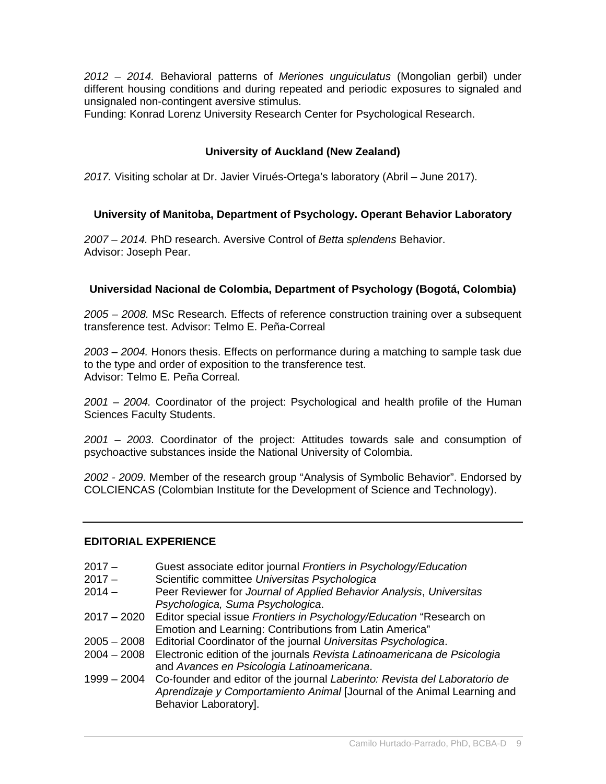*2012 – 2014.* Behavioral patterns of *Meriones unguiculatus* (Mongolian gerbil) under different housing conditions and during repeated and periodic exposures to signaled and unsignaled non-contingent aversive stimulus.

Funding: Konrad Lorenz University Research Center for Psychological Research.

## **University of Auckland (New Zealand)**

*2017.* Visiting scholar at Dr. Javier Virués-Ortega's laboratory (Abril – June 2017).

## **University of Manitoba, Department of Psychology. Operant Behavior Laboratory**

*2007 – 2014.* PhD research. Aversive Control of *Betta splendens* Behavior. Advisor: Joseph Pear.

## **Universidad Nacional de Colombia, Department of Psychology (Bogotá, Colombia)**

*2005 – 2008.* MSc Research. Effects of reference construction training over a subsequent transference test. Advisor: Telmo E. Peña-Correal

*2003 – 2004.* Honors thesis. Effects on performance during a matching to sample task due to the type and order of exposition to the transference test. Advisor: Telmo E. Peña Correal.

*2001 – 2004.* Coordinator of the project: Psychological and health profile of the Human Sciences Faculty Students.

*2001 – 2003*. Coordinator of the project: Attitudes towards sale and consumption of psychoactive substances inside the National University of Colombia.

*2002 - 2009*. Member of the research group "Analysis of Symbolic Behavior". Endorsed by COLCIENCAS (Colombian Institute for the Development of Science and Technology).

#### **EDITORIAL EXPERIENCE**

- 2017 Guest associate editor journal *Frontiers in Psychology/Education*
- 2017 Scientific committee *Universitas Psychologica*
- 2014 Peer Reviewer for *Journal of Applied Behavior Analysis*, *Universitas Psychologica, Suma Psychologica*.
- 2017 2020 Editor special issue *Frontiers in Psychology/Education* "Research on Emotion and Learning: Contributions from Latin America"
- 2005 2008 Editorial Coordinator of the journal *Universitas Psychologica*.
- 2004 2008 Electronic edition of the journals *Revista Latinoamericana de Psicologia* and *Avances en Psicologia Latinoamericana*.
- 1999 2004 Co-founder and editor of the journal *Laberinto: Revista del Laboratorio de Aprendizaje y Comportamiento Animal* [Journal of the Animal Learning and Behavior Laboratory].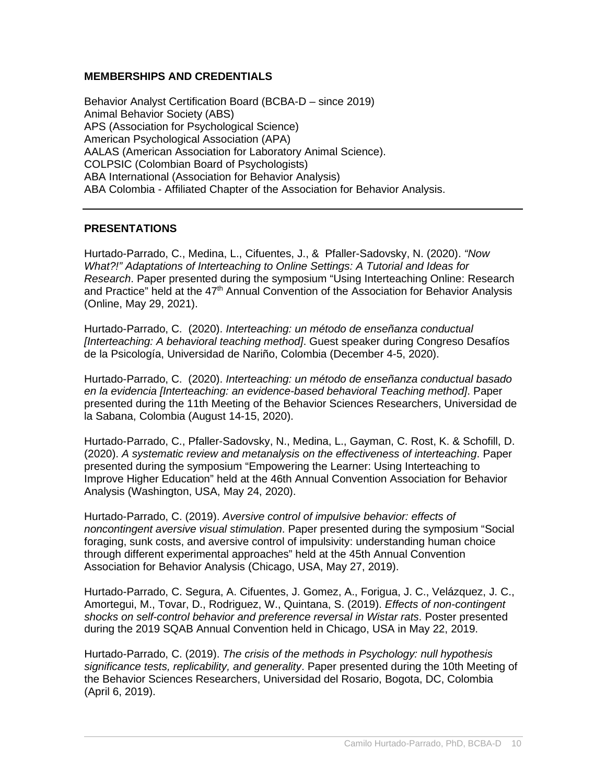## **MEMBERSHIPS AND CREDENTIALS**

Behavior Analyst Certification Board (BCBA-D – since 2019) Animal Behavior Society (ABS) APS (Association for Psychological Science) American Psychological Association (APA) AALAS (American Association for Laboratory Animal Science). COLPSIC (Colombian Board of Psychologists) ABA International (Association for Behavior Analysis) ABA Colombia - Affiliated Chapter of the Association for Behavior Analysis.

#### **PRESENTATIONS**

Hurtado-Parrado, C., Medina, L., Cifuentes, J., & Pfaller-Sadovsky, N. (2020). *"Now What?!" Adaptations of Interteaching to Online Settings: A Tutorial and Ideas for Research*. Paper presented during the symposium "Using Interteaching Online: Research and Practice" held at the 47<sup>th</sup> Annual Convention of the Association for Behavior Analysis (Online, May 29, 2021).

Hurtado-Parrado, C. (2020). *Interteaching: un método de enseñanza conductual [Interteaching: A behavioral teaching method]*. Guest speaker during Congreso Desafíos de la Psicología, Universidad de Nariño, Colombia (December 4-5, 2020).

Hurtado-Parrado, C. (2020). *Interteaching: un método de enseñanza conductual basado en la evidencia [Interteaching: an evidence-based behavioral Teaching method]*. Paper presented during the 11th Meeting of the Behavior Sciences Researchers, Universidad de la Sabana, Colombia (August 14-15, 2020).

Hurtado-Parrado, C., Pfaller-Sadovsky, N., Medina, L., Gayman, C. Rost, K. & Schofill, D. (2020). *A systematic review and metanalysis on the effectiveness of interteaching*. Paper presented during the symposium "Empowering the Learner: Using Interteaching to Improve Higher Education" held at the 46th Annual Convention Association for Behavior Analysis (Washington, USA, May 24, 2020).

Hurtado-Parrado, C. (2019). *Aversive control of impulsive behavior: effects of noncontingent aversive visual stimulation*. Paper presented during the symposium "Social foraging, sunk costs, and aversive control of impulsivity: understanding human choice through different experimental approaches" held at the 45th Annual Convention Association for Behavior Analysis (Chicago, USA, May 27, 2019).

Hurtado-Parrado, C. Segura, A. Cifuentes, J. Gomez, A., Forigua, J. C., Velázquez, J. C., Amortegui, M., Tovar, D., Rodriguez, W., Quintana, S. (2019). *Effects of non-contingent shocks on self-control behavior and preference reversal in Wistar rats*. Poster presented during the 2019 SQAB Annual Convention held in Chicago, USA in May 22, 2019.

Hurtado-Parrado, C. (2019). *The crisis of the methods in Psychology: null hypothesis significance tests, replicability, and generality*. Paper presented during the 10th Meeting of the Behavior Sciences Researchers, Universidad del Rosario, Bogota, DC, Colombia (April 6, 2019).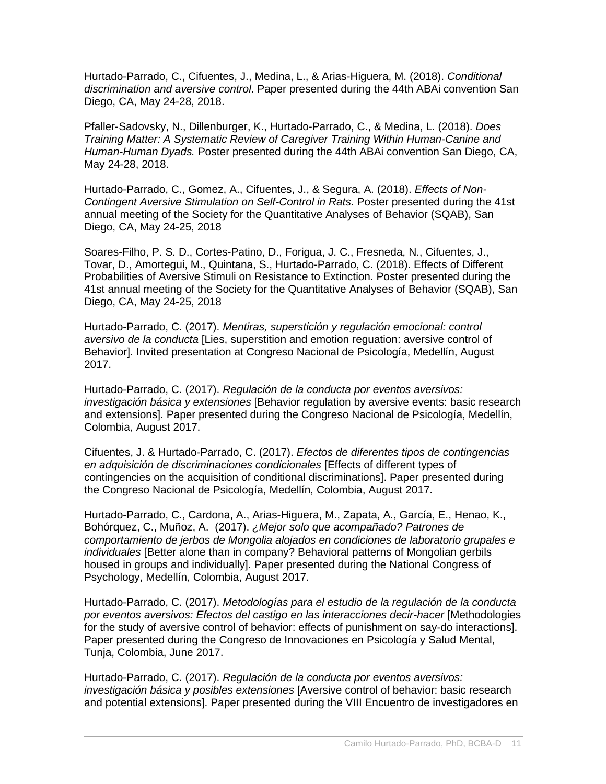Hurtado-Parrado, C., Cifuentes, J., Medina, L., & Arias-Higuera, M. (2018). *Conditional discrimination and aversive control*. Paper presented during the 44th ABAi convention San Diego, CA, May 24-28, 2018.

Pfaller-Sadovsky, N., Dillenburger, K., Hurtado-Parrado, C., & Medina, L. (2018). *Does Training Matter: A Systematic Review of Caregiver Training Within Human-Canine and Human-Human Dyads.* Poster presented during the 44th ABAi convention San Diego, CA, May 24-28, 2018.

Hurtado-Parrado, C., Gomez, A., Cifuentes, J., & Segura, A. (2018). *Effects of Non-Contingent Aversive Stimulation on Self-Control in Rats*. Poster presented during the 41st annual meeting of the Society for the Quantitative Analyses of Behavior (SQAB), San Diego, CA, May 24-25, 2018

Soares-Filho, P. S. D., Cortes-Patino, D., Forigua, J. C., Fresneda, N., Cifuentes, J., Tovar, D., Amortegui, M., Quintana, S., Hurtado-Parrado, C. (2018). Effects of Different Probabilities of Aversive Stimuli on Resistance to Extinction. Poster presented during the 41st annual meeting of the Society for the Quantitative Analyses of Behavior (SQAB), San Diego, CA, May 24-25, 2018

Hurtado-Parrado, C. (2017). *Mentiras, superstición y regulación emocional: control aversivo de la conducta* [Lies, superstition and emotion reguation: aversive control of Behavior]. Invited presentation at Congreso Nacional de Psicología, Medellín, August 2017.

Hurtado-Parrado, C. (2017). *Regulación de la conducta por eventos aversivos: investigación básica y extensiones* [Behavior regulation by aversive events: basic research and extensions]. Paper presented during the Congreso Nacional de Psicología, Medellín, Colombia, August 2017.

Cifuentes, J. & Hurtado-Parrado, C. (2017). *Efectos de diferentes tipos de contingencias en adquisición de discriminaciones condicionales* [Effects of different types of contingencies on the acquisition of conditional discriminations]. Paper presented during the Congreso Nacional de Psicología, Medellín, Colombia, August 2017.

Hurtado-Parrado, C., Cardona, A., Arias-Higuera, M., Zapata, A., García, E., Henao, K., Bohórquez, C., Muñoz, A. (2017). *¿Mejor solo que acompañado? Patrones de comportamiento de jerbos de Mongolia alojados en condiciones de laboratorio grupales e individuales* [Better alone than in company? Behavioral patterns of Mongolian gerbils housed in groups and individually]. Paper presented during the National Congress of Psychology, Medellín, Colombia, August 2017.

Hurtado-Parrado, C. (2017). *Metodologías para el estudio de la regulación de la conducta por eventos aversivos: Efectos del castigo en las interacciones decir-hacer* [Methodologies for the study of aversive control of behavior: effects of punishment on say-do interactions]. Paper presented during the Congreso de Innovaciones en Psicología y Salud Mental, Tunja, Colombia, June 2017.

Hurtado-Parrado, C. (2017). *Regulación de la conducta por eventos aversivos: investigación básica y posibles extensiones* [Aversive control of behavior: basic research and potential extensions]. Paper presented during the VIII Encuentro de investigadores en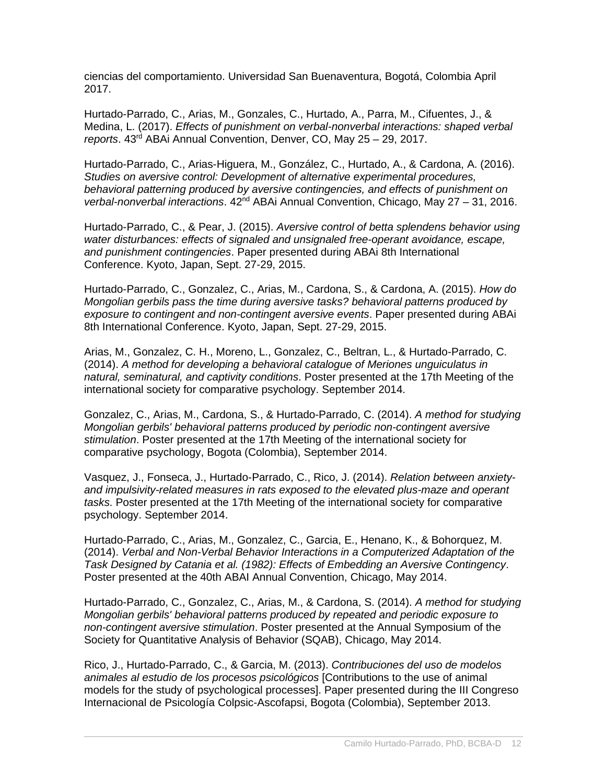ciencias del comportamiento. Universidad San Buenaventura, Bogotá, Colombia April 2017.

Hurtado-Parrado, C., Arias, M., Gonzales, C., Hurtado, A., Parra, M., Cifuentes, J., & Medina, L. (2017). *Effects of punishment on verbal-nonverbal interactions: shaped verbal reports*. 43rd ABAi Annual Convention, Denver, CO, May 25 – 29, 2017.

Hurtado-Parrado, C., Arias-Higuera, M., González, C., Hurtado, A., & Cardona, A. (2016). *Studies on aversive control: Development of alternative experimental procedures, behavioral patterning produced by aversive contingencies, and effects of punishment on verbal-nonverbal interactions.* 42<sup>nd</sup> ABAi Annual Convention, Chicago, May 27 – 31, 2016.

Hurtado-Parrado, C., & Pear, J. (2015). *Aversive control of betta splendens behavior using water disturbances: effects of signaled and unsignaled free-operant avoidance, escape, and punishment contingencies*. Paper presented during ABAi 8th International Conference. Kyoto, Japan, Sept. 27-29, 2015.

Hurtado-Parrado, C., Gonzalez, C., Arias, M., Cardona, S., & Cardona, A. (2015). *How do Mongolian gerbils pass the time during aversive tasks? behavioral patterns produced by exposure to contingent and non-contingent aversive events*. Paper presented during ABAi 8th International Conference. Kyoto, Japan, Sept. 27-29, 2015.

Arias, M., Gonzalez, C. H., Moreno, L., Gonzalez, C., Beltran, L., & Hurtado-Parrado, C. (2014). *A method for developing a behavioral catalogue of Meriones unguiculatus in natural, seminatural, and captivity conditions*. Poster presented at the 17th Meeting of the international society for comparative psychology. September 2014.

Gonzalez, C., Arias, M., Cardona, S., & Hurtado-Parrado, C. (2014). *A method for studying Mongolian gerbils' behavioral patterns produced by periodic non-contingent aversive stimulation*. Poster presented at the 17th Meeting of the international society for comparative psychology, Bogota (Colombia), September 2014.

Vasquez, J., Fonseca, J., Hurtado-Parrado, C., Rico, J. (2014). *Relation between anxietyand impulsivity-related measures in rats exposed to the elevated plus-maze and operant tasks*. Poster presented at the 17th Meeting of the international society for comparative psychology. September 2014.

Hurtado-Parrado, C., Arias, M., Gonzalez, C., Garcia, E., Henano, K., & Bohorquez, M. (2014). *Verbal and Non-Verbal Behavior Interactions in a Computerized Adaptation of the Task Designed by Catania et al. (1982): Effects of Embedding an Aversive Contingency*. Poster presented at the 40th ABAI Annual Convention, Chicago, May 2014.

Hurtado-Parrado, C., Gonzalez, C., Arias, M., & Cardona, S. (2014). *A method for studying Mongolian gerbils' behavioral patterns produced by repeated and periodic exposure to non-contingent aversive stimulation*. Poster presented at the Annual Symposium of the Society for Quantitative Analysis of Behavior (SQAB), Chicago, May 2014.

Rico, J., Hurtado-Parrado, C., & Garcia, M. (2013). *Contribuciones del uso de modelos animales al estudio de los procesos psicológicos* [Contributions to the use of animal models for the study of psychological processes]. Paper presented during the III Congreso Internacional de Psicología Colpsic-Ascofapsi, Bogota (Colombia), September 2013.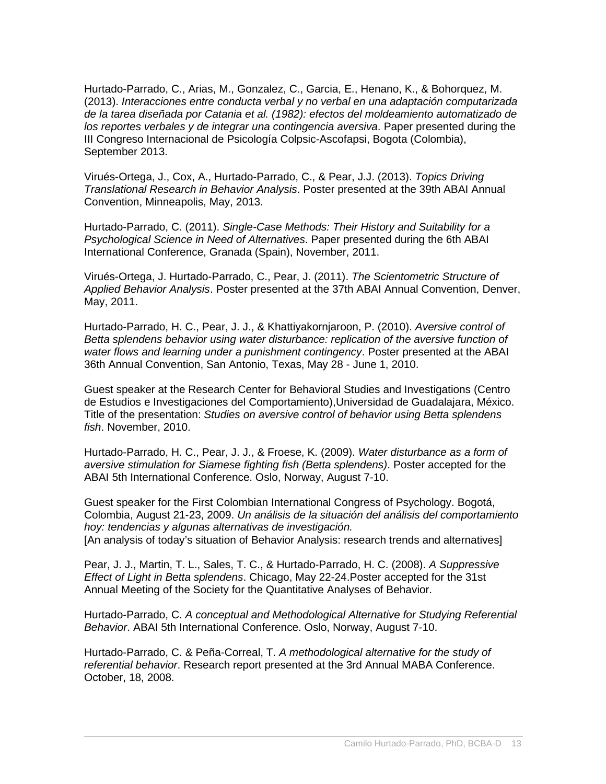Hurtado-Parrado, C., Arias, M., Gonzalez, C., Garcia, E., Henano, K., & Bohorquez, M. (2013). *Interacciones entre conducta verbal y no verbal en una adaptación computarizada de la tarea diseñada por Catania et al. (1982): efectos del moldeamiento automatizado de los reportes verbales y de integrar una contingencia aversiva*. Paper presented during the III Congreso Internacional de Psicología Colpsic-Ascofapsi, Bogota (Colombia), September 2013.

Virués-Ortega, J., Cox, A., Hurtado-Parrado, C., & Pear, J.J. (2013). *Topics Driving Translational Research in Behavior Analysis*. Poster presented at the 39th ABAI Annual Convention, Minneapolis, May, 2013.

Hurtado-Parrado, C. (2011). *Single-Case Methods: Their History and Suitability for a Psychological Science in Need of Alternatives*. Paper presented during the 6th ABAI International Conference, Granada (Spain), November, 2011.

Virués-Ortega, J. Hurtado-Parrado, C., Pear, J. (2011). *The Scientometric Structure of Applied Behavior Analysis*. Poster presented at the 37th ABAI Annual Convention, Denver, May, 2011.

Hurtado-Parrado, H. C., Pear, J. J., & Khattiyakornjaroon, P. (2010). *Aversive control of*  Betta splendens behavior using water disturbance: replication of the aversive function of *water flows and learning under a punishment contingency*. Poster presented at the ABAI 36th Annual Convention, San Antonio, Texas, May 28 - June 1, 2010.

Guest speaker at the Research Center for Behavioral Studies and Investigations (Centro de Estudios e Investigaciones del Comportamiento),Universidad de Guadalajara, México. Title of the presentation: *Studies on aversive control of behavior using Betta splendens fish*. November, 2010.

Hurtado-Parrado, H. C., Pear, J. J., & Froese, K. (2009). *Water disturbance as a form of aversive stimulation for Siamese fighting fish (Betta splendens)*. Poster accepted for the ABAI 5th International Conference. Oslo, Norway, August 7-10.

Guest speaker for the First Colombian International Congress of Psychology. Bogotá, Colombia, August 21-23, 2009. *Un análisis de la situación del análisis del comportamiento hoy: tendencias y algunas alternativas de investigación.* [An analysis of today's situation of Behavior Analysis: research trends and alternatives]

Pear, J. J., Martin, T. L., Sales, T. C., & Hurtado-Parrado, H. C. (2008). *A Suppressive Effect of Light in Betta splendens*. Chicago, May 22-24.Poster accepted for the 31st Annual Meeting of the Society for the Quantitative Analyses of Behavior.

Hurtado-Parrado, C. *A conceptual and Methodological Alternative for Studying Referential Behavior*. ABAI 5th International Conference. Oslo, Norway, August 7-10.

Hurtado-Parrado, C. & Peña-Correal, T. *A methodological alternative for the study of referential behavior*. Research report presented at the 3rd Annual MABA Conference. October, 18, 2008.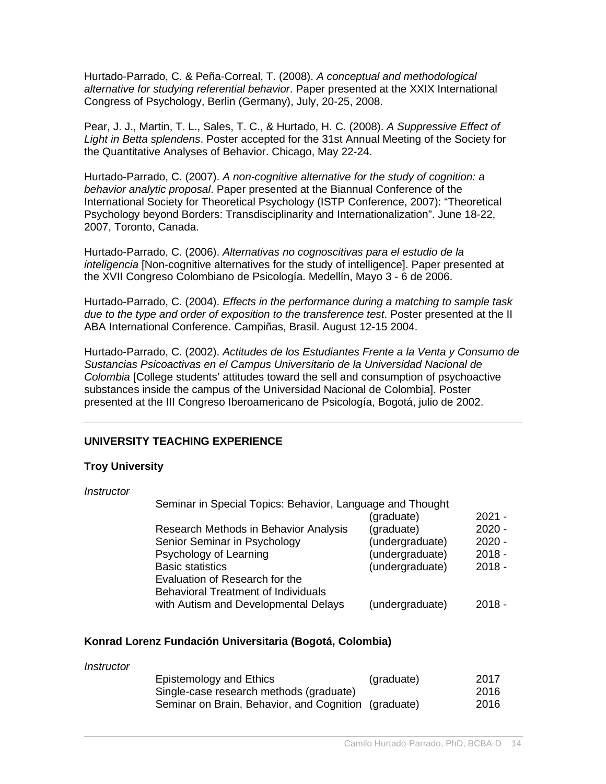Hurtado-Parrado, C. & Peña-Correal, T. (2008). *A conceptual and methodological alternative for studying referential behavior*. Paper presented at the XXIX International Congress of Psychology, Berlin (Germany), July, 20-25, 2008.

Pear, J. J., Martin, T. L., Sales, T. C., & Hurtado, H. C. (2008). *A Suppressive Effect of Light in Betta splendens*. Poster accepted for the 31st Annual Meeting of the Society for the Quantitative Analyses of Behavior. Chicago, May 22-24.

Hurtado-Parrado, C. (2007). *A non-cognitive alternative for the study of cognition: a behavior analytic proposal*. Paper presented at the Biannual Conference of the International Society for Theoretical Psychology (ISTP Conference, 2007): "Theoretical Psychology beyond Borders: Transdisciplinarity and Internationalization". June 18-22, 2007, Toronto, Canada.

Hurtado-Parrado, C. (2006). *Alternativas no cognoscitivas para el estudio de la inteligencia* [Non-cognitive alternatives for the study of intelligence]. Paper presented at the XVII Congreso Colombiano de Psicología. Medellín, Mayo 3 - 6 de 2006.

Hurtado-Parrado, C. (2004). *Effects in the performance during a matching to sample task due to the type and order of exposition to the transference test*. Poster presented at the II ABA International Conference. Campiñas, Brasil. August 12-15 2004.

Hurtado-Parrado, C. (2002). *Actitudes de los Estudiantes Frente a la Venta y Consumo de Sustancias Psicoactivas en el Campus Universitario de la Universidad Nacional de Colombia* [College students' attitudes toward the sell and consumption of psychoactive substances inside the campus of the Universidad Nacional de Colombia]. Poster presented at the III Congreso Iberoamericano de Psicología, Bogotá, julio de 2002.

#### **UNIVERSITY TEACHING EXPERIENCE**

#### **Troy University**

#### *Instructor*

| Seminar in Special Topics: Behavior, Language and Thought |          |  |  |  |
|-----------------------------------------------------------|----------|--|--|--|
| (graduate)                                                | $2021 -$ |  |  |  |
| (graduate)                                                | $2020 -$ |  |  |  |
| (undergraduate)                                           | $2020 -$ |  |  |  |
| (undergraduate)                                           | $2018 -$ |  |  |  |
| (undergraduate)                                           | $2018 -$ |  |  |  |
|                                                           |          |  |  |  |
|                                                           |          |  |  |  |
| (undergraduate)                                           | $2018 -$ |  |  |  |
|                                                           |          |  |  |  |

#### **Konrad Lorenz Fundación Universitaria (Bogotá, Colombia)**

| Instructor |                                                      |            |      |
|------------|------------------------------------------------------|------------|------|
|            | Epistemology and Ethics                              | (graduate) | 2017 |
|            | Single-case research methods (graduate)              |            | 2016 |
|            | Seminar on Brain, Behavior, and Cognition (graduate) |            | 2016 |
|            |                                                      |            |      |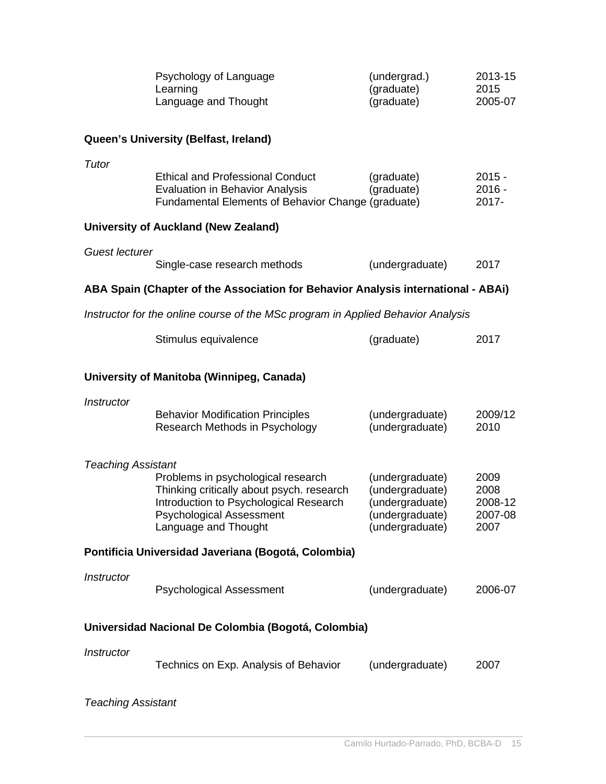|                                                                                  | Psychology of Language<br>Learning<br>Language and Thought                                                                                                                           | (undergrad.)<br>(graduate)<br>(graduate)                                                    | 2013-15<br>2015<br>2005-07                 |  |  |
|----------------------------------------------------------------------------------|--------------------------------------------------------------------------------------------------------------------------------------------------------------------------------------|---------------------------------------------------------------------------------------------|--------------------------------------------|--|--|
|                                                                                  | Queen's University (Belfast, Ireland)                                                                                                                                                |                                                                                             |                                            |  |  |
| Tutor                                                                            | <b>Ethical and Professional Conduct</b><br><b>Evaluation in Behavior Analysis</b><br>Fundamental Elements of Behavior Change (graduate)                                              | (graduate)<br>(graduate)                                                                    | $2015 -$<br>$2016 -$<br>2017-              |  |  |
|                                                                                  | <b>University of Auckland (New Zealand)</b>                                                                                                                                          |                                                                                             |                                            |  |  |
| <b>Guest lecturer</b>                                                            | Single-case research methods                                                                                                                                                         | (undergraduate)                                                                             | 2017                                       |  |  |
|                                                                                  | ABA Spain (Chapter of the Association for Behavior Analysis international - ABAi)                                                                                                    |                                                                                             |                                            |  |  |
| Instructor for the online course of the MSc program in Applied Behavior Analysis |                                                                                                                                                                                      |                                                                                             |                                            |  |  |
|                                                                                  | Stimulus equivalence                                                                                                                                                                 | (graduate)                                                                                  | 2017                                       |  |  |
|                                                                                  | University of Manitoba (Winnipeg, Canada)                                                                                                                                            |                                                                                             |                                            |  |  |
| Instructor                                                                       | <b>Behavior Modification Principles</b><br>Research Methods in Psychology                                                                                                            | (undergraduate)<br>(undergraduate)                                                          | 2009/12<br>2010                            |  |  |
| <b>Teaching Assistant</b>                                                        | Problems in psychological research<br>Thinking critically about psych. research<br>Introduction to Psychological Research<br><b>Psychological Assessment</b><br>Language and Thought | (undergraduate)<br>(undergraduate)<br>(undergraduate)<br>(undergraduate)<br>(undergraduate) | 2009<br>2008<br>2008-12<br>2007-08<br>2007 |  |  |
|                                                                                  | Pontificia Universidad Javeriana (Bogotá, Colombia)                                                                                                                                  |                                                                                             |                                            |  |  |
| Instructor                                                                       | <b>Psychological Assessment</b>                                                                                                                                                      | (undergraduate)                                                                             | 2006-07                                    |  |  |
|                                                                                  | Universidad Nacional De Colombia (Bogotá, Colombia)                                                                                                                                  |                                                                                             |                                            |  |  |
| Instructor                                                                       | Technics on Exp. Analysis of Behavior                                                                                                                                                | (undergraduate)                                                                             | 2007                                       |  |  |

# *Teaching Assistant*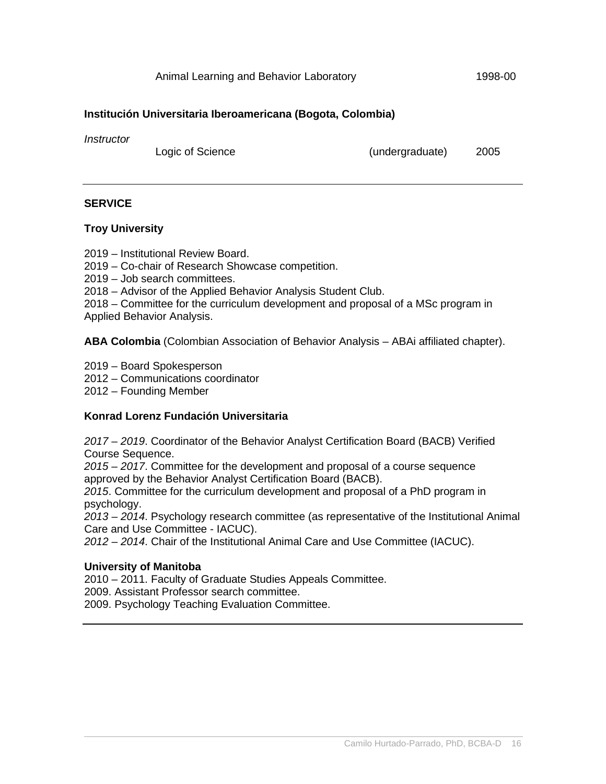#### **Institución Universitaria Iberoamericana (Bogota, Colombia)**

*Instructor*

Logic of Science (undergraduate) 2005

#### **SERVICE**

#### **Troy University**

2019 *–* Institutional Review Board.

2019 *–* Co-chair of Research Showcase competition.

2019 *–* Job search committees.

2018 *–* Advisor of the Applied Behavior Analysis Student Club.

2018 *–* Committee for the curriculum development and proposal of a MSc program in Applied Behavior Analysis.

**ABA Colombia** (Colombian Association of Behavior Analysis – ABAi affiliated chapter).

- 2019 Board Spokesperson
- 2012 Communications coordinator
- 2012 Founding Member

#### **Konrad Lorenz Fundación Universitaria**

*2017 – 2019*. Coordinator of the Behavior Analyst Certification Board (BACB) Verified Course Sequence.

*2015 – 2017*. Committee for the development and proposal of a course sequence approved by the Behavior Analyst Certification Board (BACB).

*2015*. Committee for the curriculum development and proposal of a PhD program in psychology.

*2013 – 2014*. Psychology research committee (as representative of the Institutional Animal Care and Use Committee - IACUC).

*2012 – 2014*. Chair of the Institutional Animal Care and Use Committee (IACUC).

#### **University of Manitoba**

2010 – 2011. Faculty of Graduate Studies Appeals Committee.

2009. Assistant Professor search committee.

2009. Psychology Teaching Evaluation Committee.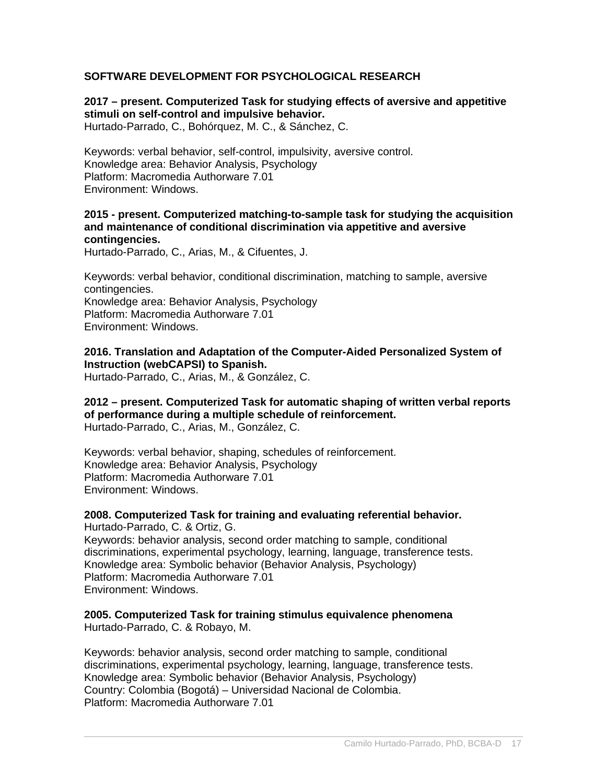## **SOFTWARE DEVELOPMENT FOR PSYCHOLOGICAL RESEARCH**

#### **2017 – present. Computerized Task for studying effects of aversive and appetitive stimuli on self-control and impulsive behavior.**

Hurtado-Parrado, C., Bohórquez, M. C., & Sánchez, C.

Keywords: verbal behavior, self-control, impulsivity, aversive control. Knowledge area: Behavior Analysis, Psychology Platform: Macromedia Authorware 7.01 Environment: Windows.

#### **2015 - present. Computerized matching-to-sample task for studying the acquisition and maintenance of conditional discrimination via appetitive and aversive contingencies.**

Hurtado-Parrado, C., Arias, M., & Cifuentes, J.

Keywords: verbal behavior, conditional discrimination, matching to sample, aversive contingencies. Knowledge area: Behavior Analysis, Psychology Platform: Macromedia Authorware 7.01 Environment: Windows.

### **2016. Translation and Adaptation of the Computer-Aided Personalized System of Instruction (webCAPSI) to Spanish.**

Hurtado-Parrado, C., Arias, M., & González, C.

#### **2012 – present. Computerized Task for automatic shaping of written verbal reports of performance during a multiple schedule of reinforcement.**  Hurtado-Parrado, C., Arias, M., González, C.

Keywords: verbal behavior, shaping, schedules of reinforcement. Knowledge area: Behavior Analysis, Psychology Platform: Macromedia Authorware 7.01 Environment: Windows.

**2008. Computerized Task for training and evaluating referential behavior.**  Hurtado-Parrado, C. & Ortiz, G. Keywords: behavior analysis, second order matching to sample, conditional discriminations, experimental psychology, learning, language, transference tests. Knowledge area: Symbolic behavior (Behavior Analysis, Psychology) Platform: Macromedia Authorware 7.01 Environment: Windows.

**2005. Computerized Task for training stimulus equivalence phenomena** Hurtado-Parrado, C. & Robayo, M.

Keywords: behavior analysis, second order matching to sample, conditional discriminations, experimental psychology, learning, language, transference tests. Knowledge area: Symbolic behavior (Behavior Analysis, Psychology) Country: Colombia (Bogotá) – Universidad Nacional de Colombia. Platform: Macromedia Authorware 7.01